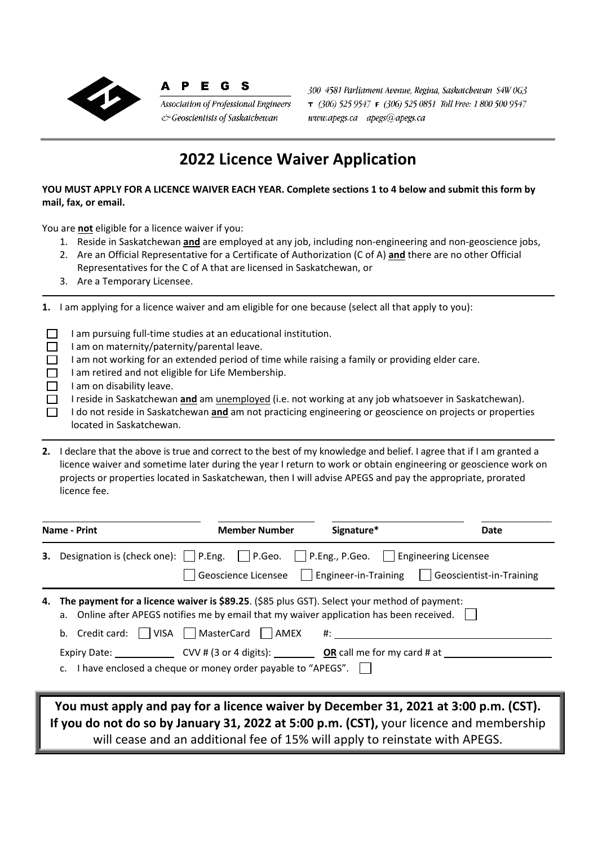

## A P E G S

Association of Professional Engineers & Geoscientists of Saskatchewan

300 4581 Parliament Avenue, Regina, Saskatchewan S4W 0G3  $\tau$  (306) 525 9547  $\tau$  (306) 525 0851 Toll Free: 1 800 500 9547  $www.apegs.ca \quad apegs@apegs.ca$ 

## **2022 Licence Waiver Application**

**YOU MUST APPLY FOR A LICENCE WAIVER EACH YEAR. Complete sections 1 to 4 below and submit this form by mail, fax, or email.** 

You are **not** eligible for a licence waiver if you:

- 1. Reside in Saskatchewan **and** are employed at any job, including non‐engineering and non‐geoscience jobs,
- 2. Are an Official Representative for a Certificate of Authorization (C of A) **and** there are no other Official Representatives for the C of A that are licensed in Saskatchewan, or
- 3. Are a Temporary Licensee.

**1.** I am applying for a licence waiver and am eligible for one because (select all that apply to you):

I am pursuing full-time studies at an educational institution.  $\Box$ 

- $\Box$ I am on maternity/paternity/parental leave.
- $\Box$ I am not working for an extended period of time while raising a family or providing elder care.
- I am retired and not eligible for Life Membership.  $\Box$
- $\Box$ I am on disability leave.
- $\Box$ I reside in Saskatchewan **and** am unemployed (i.e. not working at any job whatsoever in Saskatchewan).
- I do not reside in Saskatchewan **and** am not practicing engineering or geoscience on projects or properties  $\Box$ located in Saskatchewan.

**2.** I declare that the above is true and correct to the best of my knowledge and belief. I agree that if I am granted a licence waiver and sometime later during the year I return to work or obtain engineering or geoscience work on projects or properties located in Saskatchewan, then I will advise APEGS and pay the appropriate, prorated licence fee.

| <b>Name - Print</b> |  | <b>Member Number</b>                                                                                                                                                                                                                                                                                                                  | Signature*                                                                                                                                                                       | Date                                                                                 |  |
|---------------------|--|---------------------------------------------------------------------------------------------------------------------------------------------------------------------------------------------------------------------------------------------------------------------------------------------------------------------------------------|----------------------------------------------------------------------------------------------------------------------------------------------------------------------------------|--------------------------------------------------------------------------------------|--|
| 3.                  |  |                                                                                                                                                                                                                                                                                                                                       | Designation is (check one):     P.Eng.       P.Geo.       P.Eng., P.Geo.       Engineering Licensee<br>Geoscience Licensee     Engineer-in-Training     Geoscientist-in-Training |                                                                                      |  |
| 4.                  |  | The payment for a licence waiver is \$89.25. (\$85 plus GST). Select your method of payment:<br>a. Online after APEGS notifies me by email that my waiver application has been received. $\vert \vert$<br>b. Credit card: $\vert$   VISA     MasterCard     AMEX #:<br>c. I have enclosed a cheque or money order payable to "APEGS". |                                                                                                                                                                                  |                                                                                      |  |
|                     |  |                                                                                                                                                                                                                                                                                                                                       |                                                                                                                                                                                  | You must apply and pay for a licence waiver by December 31, 2021 at 3:00 p.m. (CST). |  |

**If you do not do so by January 31, 2022 at 5:00 p.m. (CST),** your licence and membership will cease and an additional fee of 15% will apply to reinstate with APEGS.